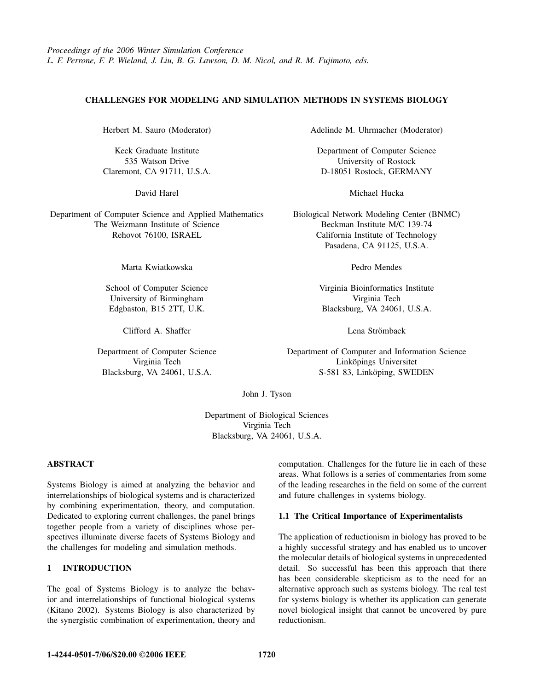### CHALLENGES FOR MODELING AND SIMULATION METHODS IN SYSTEMS BIOLOGY

Herbert M. Sauro (Moderator)

Keck Graduate Institute 535 Watson Drive Claremont, CA 91711, U.S.A.

David Harel

Department of Computer Science and Applied Mathematics The Weizmann Institute of Science Rehovot 76100, ISRAEL

Marta Kwiatkowska

School of Computer Science University of Birmingham Edgbaston, B15 2TT, U.K.

Clifford A. Shaffer

Department of Computer Science Virginia Tech Blacksburg, VA 24061, U.S.A.

Adelinde M. Uhrmacher (Moderator)

Department of Computer Science University of Rostock D-18051 Rostock, GERMANY

Michael Hucka

Biological Network Modeling Center (BNMC) Beckman Institute M/C 139-74 California Institute of Technology Pasadena, CA 91125, U.S.A.

Pedro Mendes

Virginia Bioinformatics Institute Virginia Tech Blacksburg, VA 24061, U.S.A.

Lena Strömback

Department of Computer and Information Science Linköpings Universitet S-581 83, Linköping, SWEDEN

John J. Tyson

Department of Biological Sciences Virginia Tech Blacksburg, VA 24061, U.S.A.

# ABSTRACT

Systems Biology is aimed at analyzing the behavior and interrelationships of biological systems and is characterized by combining experimentation, theory, and computation. Dedicated to exploring current challenges, the panel brings together people from a variety of disciplines whose perspectives illuminate diverse facets of Systems Biology and the challenges for modeling and simulation methods.

# 1 INTRODUCTION

The goal of Systems Biology is to analyze the behavior and interrelationships of functional biological systems (Kitano 2002). Systems Biology is also characterized by the synergistic combination of experimentation, theory and computation. Challenges for the future lie in each of these areas. What follows is a series of commentaries from some of the leading researches in the field on some of the current and future challenges in systems biology.

# 1.1 The Critical Importance of Experimentalists

The application of reductionism in biology has proved to be a highly successful strategy and has enabled us to uncover the molecular details of biological systems in unprecedented detail. So successful has been this approach that there has been considerable skepticism as to the need for an alternative approach such as systems biology. The real test for systems biology is whether its application can generate novel biological insight that cannot be uncovered by pure reductionism.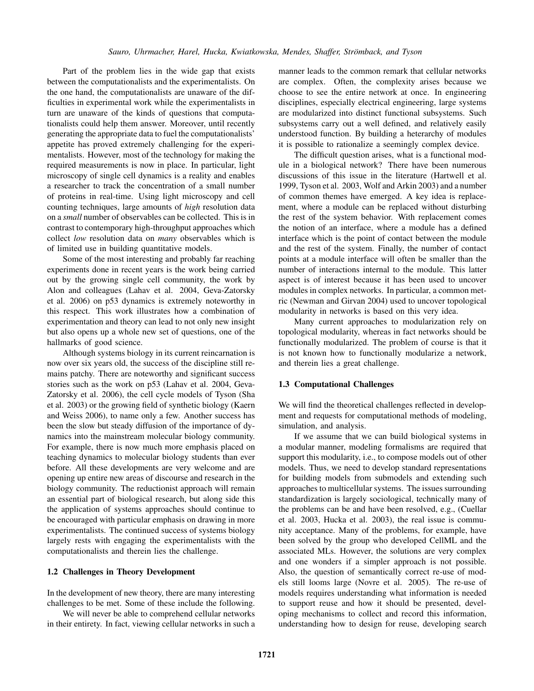Part of the problem lies in the wide gap that exists between the computationalists and the experimentalists. On the one hand, the computationalists are unaware of the difficulties in experimental work while the experimentalists in turn are unaware of the kinds of questions that computationalists could help them answer. Moreover, until recently generating the appropriate data to fuel the computationalists' appetite has proved extremely challenging for the experimentalists. However, most of the technology for making the required measurements is now in place. In particular, light microscopy of single cell dynamics is a reality and enables a researcher to track the concentration of a small number of proteins in real-time. Using light microscopy and cell counting techniques, large amounts of high resolution data on a small number of observables can be collected. This is in contrast to contemporary high-throughput approaches which collect low resolution data on many observables which is of limited use in building quantitative models.

Some of the most interesting and probably far reaching experiments done in recent years is the work being carried out by the growing single cell community, the work by Alon and colleagues (Lahav et al. 2004, Geva-Zatorsky et al. 2006) on p53 dynamics is extremely noteworthy in this respect. This work illustrates how a combination of experimentation and theory can lead to not only new insight but also opens up a whole new set of questions, one of the hallmarks of good science.

Although systems biology in its current reincarnation is now over six years old, the success of the discipline still remains patchy. There are noteworthy and significant success stories such as the work on p53 (Lahav et al. 2004, Geva-Zatorsky et al. 2006), the cell cycle models of Tyson (Sha et al. 2003) or the growing field of synthetic biology (Kaern and Weiss 2006), to name only a few. Another success has been the slow but steady diffusion of the importance of dynamics into the mainstream molecular biology community. For example, there is now much more emphasis placed on teaching dynamics to molecular biology students than ever before. All these developments are very welcome and are opening up entire new areas of discourse and research in the biology community. The reductionist approach will remain an essential part of biological research, but along side this the application of systems approaches should continue to be encouraged with particular emphasis on drawing in more experimentalists. The continued success of systems biology largely rests with engaging the experimentalists with the computationalists and therein lies the challenge.

#### 1.2 Challenges in Theory Development

In the development of new theory, there are many interesting challenges to be met. Some of these include the following.

We will never be able to comprehend cellular networks in their entirety. In fact, viewing cellular networks in such a

manner leads to the common remark that cellular networks are complex. Often, the complexity arises because we choose to see the entire network at once. In engineering disciplines, especially electrical engineering, large systems are modularized into distinct functional subsystems. Such subsystems carry out a well defined, and relatively easily understood function. By building a heterarchy of modules it is possible to rationalize a seemingly complex device.

The difficult question arises, what is a functional module in a biological network? There have been numerous discussions of this issue in the literature (Hartwell et al. 1999, Tyson et al. 2003, Wolf and Arkin 2003) and a number of common themes have emerged. A key idea is replacement, where a module can be replaced without disturbing the rest of the system behavior. With replacement comes the notion of an interface, where a module has a defined interface which is the point of contact between the module and the rest of the system. Finally, the number of contact points at a module interface will often be smaller than the number of interactions internal to the module. This latter aspect is of interest because it has been used to uncover modules in complex networks. In particular, a common metric (Newman and Girvan 2004) used to uncover topological modularity in networks is based on this very idea.

Many current approaches to modularization rely on topological modularity, whereas in fact networks should be functionally modularized. The problem of course is that it is not known how to functionally modularize a network, and therein lies a great challenge.

#### 1.3 Computational Challenges

We will find the theoretical challenges reflected in development and requests for computational methods of modeling, simulation, and analysis.

If we assume that we can build biological systems in a modular manner, modeling formalisms are required that support this modularity, i.e., to compose models out of other models. Thus, we need to develop standard representations for building models from submodels and extending such approaches to multicellular systems. The issues surrounding standardization is largely sociological, technically many of the problems can be and have been resolved, e.g., (Cuellar et al. 2003, Hucka et al. 2003), the real issue is community acceptance. Many of the problems, for example, have been solved by the group who developed CellML and the associated MLs. However, the solutions are very complex and one wonders if a simpler approach is not possible. Also, the question of semantically correct re-use of models still looms large (Novre et al. 2005). The re-use of models requires understanding what information is needed to support reuse and how it should be presented, developing mechanisms to collect and record this information, understanding how to design for reuse, developing search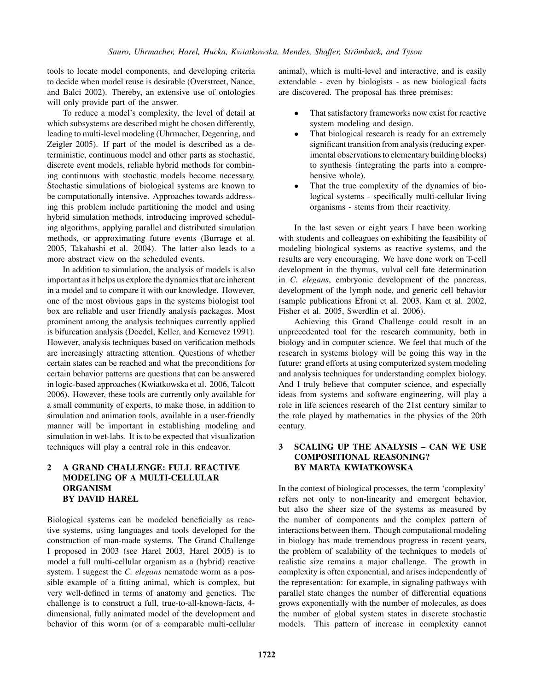tools to locate model components, and developing criteria to decide when model reuse is desirable (Overstreet, Nance, and Balci 2002). Thereby, an extensive use of ontologies will only provide part of the answer.

To reduce a model's complexity, the level of detail at which subsystems are described might be chosen differently, leading to multi-level modeling (Uhrmacher, Degenring, and Zeigler 2005). If part of the model is described as a deterministic, continuous model and other parts as stochastic, discrete event models, reliable hybrid methods for combining continuous with stochastic models become necessary. Stochastic simulations of biological systems are known to be computationally intensive. Approaches towards addressing this problem include partitioning the model and using hybrid simulation methods, introducing improved scheduling algorithms, applying parallel and distributed simulation methods, or approximating future events (Burrage et al. 2005, Takahashi et al. 2004). The latter also leads to a more abstract view on the scheduled events.

In addition to simulation, the analysis of models is also important as it helps us explore the dynamics that are inherent in a model and to compare it with our knowledge. However, one of the most obvious gaps in the systems biologist tool box are reliable and user friendly analysis packages. Most prominent among the analysis techniques currently applied is bifurcation analysis (Doedel, Keller, and Kernevez 1991). However, analysis techniques based on verification methods are increasingly attracting attention. Questions of whether certain states can be reached and what the preconditions for certain behavior patterns are questions that can be answered in logic-based approaches (Kwiatkowska et al. 2006, Talcott 2006). However, these tools are currently only available for a small community of experts, to make those, in addition to simulation and animation tools, available in a user-friendly manner will be important in establishing modeling and simulation in wet-labs. It is to be expected that visualization techniques will play a central role in this endeavor.

# 2 A GRAND CHALLENGE: FULL REACTIVE MODELING OF A MULTI-CELLULAR **ORGANISM** BY DAVID HAREL

Biological systems can be modeled beneficially as reactive systems, using languages and tools developed for the construction of man-made systems. The Grand Challenge I proposed in 2003 (see Harel 2003, Harel 2005) is to model a full multi-cellular organism as a (hybrid) reactive system. I suggest the C. elegans nematode worm as a possible example of a fitting animal, which is complex, but very well-defined in terms of anatomy and genetics. The challenge is to construct a full, true-to-all-known-facts, 4 dimensional, fully animated model of the development and behavior of this worm (or of a comparable multi-cellular

animal), which is multi-level and interactive, and is easily extendable - even by biologists - as new biological facts are discovered. The proposal has three premises:

- That satisfactory frameworks now exist for reactive system modeling and design.
- That biological research is ready for an extremely significant transition from analysis (reducing experimental observations to elementary building blocks) to synthesis (integrating the parts into a comprehensive whole).
- That the true complexity of the dynamics of biological systems - specifically multi-cellular living organisms - stems from their reactivity.

In the last seven or eight years I have been working with students and colleagues on exhibiting the feasibility of modeling biological systems as reactive systems, and the results are very encouraging. We have done work on T-cell development in the thymus, vulval cell fate determination in C. elegans, embryonic development of the pancreas, development of the lymph node, and generic cell behavior (sample publications Efroni et al. 2003, Kam et al. 2002, Fisher et al. 2005, Swerdlin et al. 2006).

Achieving this Grand Challenge could result in an unprecedented tool for the research community, both in biology and in computer science. We feel that much of the research in systems biology will be going this way in the future: grand efforts at using computerized system modeling and analysis techniques for understanding complex biology. And I truly believe that computer science, and especially ideas from systems and software engineering, will play a role in life sciences research of the 21st century similar to the role played by mathematics in the physics of the 20th century.

# 3 SCALING UP THE ANALYSIS – CAN WE USE COMPOSITIONAL REASONING? BY MARTA KWIATKOWSKA

In the context of biological processes, the term 'complexity' refers not only to non-linearity and emergent behavior, but also the sheer size of the systems as measured by the number of components and the complex pattern of interactions between them. Though computational modeling in biology has made tremendous progress in recent years, the problem of scalability of the techniques to models of realistic size remains a major challenge. The growth in complexity is often exponential, and arises independently of the representation: for example, in signaling pathways with parallel state changes the number of differential equations grows exponentially with the number of molecules, as does the number of global system states in discrete stochastic models. This pattern of increase in complexity cannot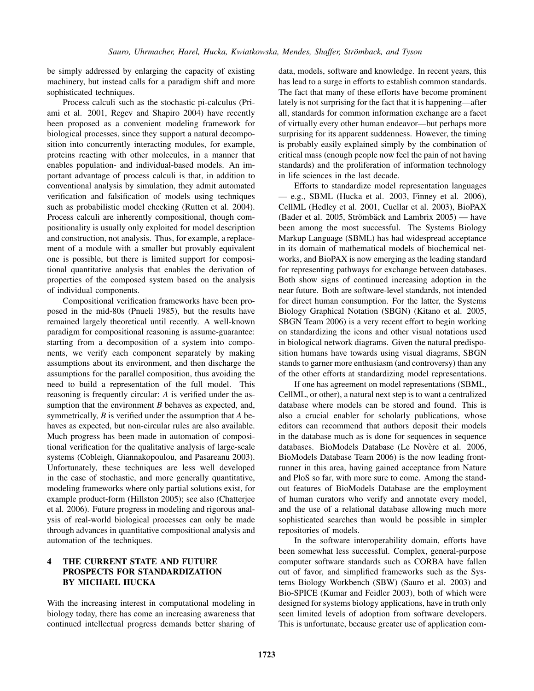be simply addressed by enlarging the capacity of existing machinery, but instead calls for a paradigm shift and more sophisticated techniques.

Process calculi such as the stochastic pi-calculus (Priami et al. 2001, Regev and Shapiro 2004) have recently been proposed as a convenient modeling framework for biological processes, since they support a natural decomposition into concurrently interacting modules, for example, proteins reacting with other molecules, in a manner that enables population- and individual-based models. An important advantage of process calculi is that, in addition to conventional analysis by simulation, they admit automated verification and falsification of models using techniques such as probabilistic model checking (Rutten et al. 2004). Process calculi are inherently compositional, though compositionality is usually only exploited for model description and construction, not analysis. Thus, for example, a replacement of a module with a smaller but provably equivalent one is possible, but there is limited support for compositional quantitative analysis that enables the derivation of properties of the composed system based on the analysis of individual components.

Compositional verification frameworks have been proposed in the mid-80s (Pnueli 1985), but the results have remained largely theoretical until recently. A well-known paradigm for compositional reasoning is assume-guarantee: starting from a decomposition of a system into components, we verify each component separately by making assumptions about its environment, and then discharge the assumptions for the parallel composition, thus avoiding the need to build a representation of the full model. This reasoning is frequently circular: A is verified under the assumption that the environment *B* behaves as expected, and, symmetrically,  $B$  is verified under the assumption that  $A$  behaves as expected, but non-circular rules are also available. Much progress has been made in automation of compositional verification for the qualitative analysis of large-scale systems (Cobleigh, Giannakopoulou, and Pasareanu 2003). Unfortunately, these techniques are less well developed in the case of stochastic, and more generally quantitative, modeling frameworks where only partial solutions exist, for example product-form (Hillston 2005); see also (Chatterjee et al. 2006). Future progress in modeling and rigorous analysis of real-world biological processes can only be made through advances in quantitative compositional analysis and automation of the techniques.

# 4 THE CURRENT STATE AND FUTURE PROSPECTS FOR STANDARDIZATION BY MICHAEL HUCKA

With the increasing interest in computational modeling in biology today, there has come an increasing awareness that continued intellectual progress demands better sharing of data, models, software and knowledge. In recent years, this has lead to a surge in efforts to establish common standards. The fact that many of these efforts have become prominent lately is not surprising for the fact that it is happening—after all, standards for common information exchange are a facet of virtually every other human endeavor—but perhaps more surprising for its apparent suddenness. However, the timing is probably easily explained simply by the combination of critical mass (enough people now feel the pain of not having standards) and the proliferation of information technology in life sciences in the last decade.

Efforts to standardize model representation languages — e.g., SBML (Hucka et al. 2003, Finney et al. 2006), CellML (Hedley et al. 2001, Cuellar et al. 2003), BioPAX (Bader et al. 2005, Strömbäck and Lambrix  $2005$ ) — have been among the most successful. The Systems Biology Markup Language (SBML) has had widespread acceptance in its domain of mathematical models of biochemical networks, and BioPAX is now emerging as the leading standard for representing pathways for exchange between databases. Both show signs of continued increasing adoption in the near future. Both are software-level standards, not intended for direct human consumption. For the latter, the Systems Biology Graphical Notation (SBGN) (Kitano et al. 2005, SBGN Team 2006) is a very recent effort to begin working on standardizing the icons and other visual notations used in biological network diagrams. Given the natural predisposition humans have towards using visual diagrams, SBGN stands to garner more enthusiasm (and controversy) than any of the other efforts at standardizing model representations.

If one has agreement on model representations (SBML, CellML, or other), a natural next step is to want a centralized database where models can be stored and found. This is also a crucial enabler for scholarly publications, whose editors can recommend that authors deposit their models in the database much as is done for sequences in sequence databases. BioModels Database (Le Novère et al. 2006, BioModels Database Team 2006) is the now leading frontrunner in this area, having gained acceptance from Nature and PloS so far, with more sure to come. Among the standout features of BioModels Database are the employment of human curators who verify and annotate every model, and the use of a relational database allowing much more sophisticated searches than would be possible in simpler repositories of models.

In the software interoperability domain, efforts have been somewhat less successful. Complex, general-purpose computer software standards such as CORBA have fallen out of favor, and simplified frameworks such as the Systems Biology Workbench (SBW) (Sauro et al. 2003) and Bio-SPICE (Kumar and Feidler 2003), both of which were designed for systems biology applications, have in truth only seen limited levels of adoption from software developers. This is unfortunate, because greater use of application com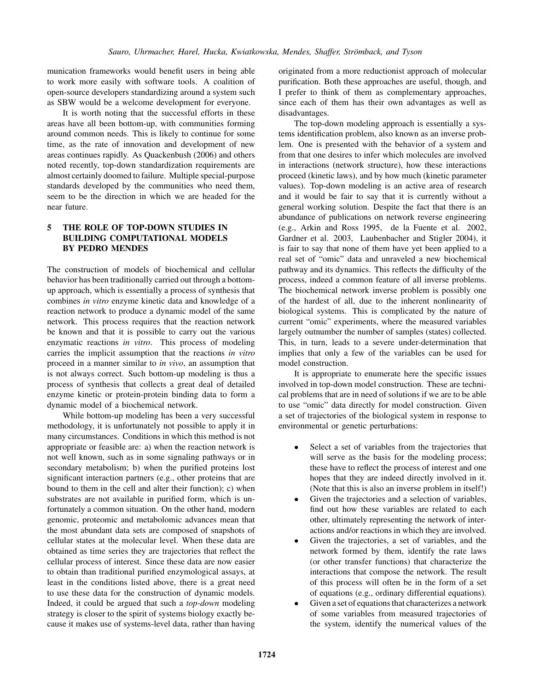munication frameworks would benefit users in being able to work more easily with software tools. A coalition of open-source developers standardizing around a system such as SBW would be a welcome development for everyone.

It is worth noting that the successful efforts in these areas have all been bottom-up, with communities forming around common needs. This is likely to continue for some time, as the rate of innovation and development of new areas continues rapidly. As Quackenbush (2006) and others noted recently, top-down standardization requirements are almost certainly doomed to failure. Multiple special-purpose standards developed by the communities who need them, seem to be the direction in which we are headed for the near future.

# 5 THE ROLE OF TOP-DOWN STUDIES IN BUILDING COMPUTATIONAL MODELS BY PEDRO MENDES

The construction of models of biochemical and cellular behavior has been traditionally carried out through a bottomup approach, which is essentially a process of synthesis that combines in vitro enzyme kinetic data and knowledge of a reaction network to produce a dynamic model of the same network. This process requires that the reaction network be known and that it is possible to carry out the various enzymatic reactions in vitro. This process of modeling carries the implicit assumption that the reactions in vitro proceed in a manner similar to in vivo, an assumption that is not always correct. Such bottom-up modeling is thus a process of synthesis that collects a great deal of detailed enzyme kinetic or protein-protein binding data to form a dynamic model of a biochemical network.

While bottom-up modeling has been a very successful methodology, it is unfortunately not possible to apply it in many circumstances. Conditions in which this method is not appropriate or feasible are: a) when the reaction network is not well known, such as in some signaling pathways or in secondary metabolism; b) when the purified proteins lost significant interaction partners (e.g., other proteins that are bound to them in the cell and alter their function); c) when substrates are not available in purified form, which is unfortunately a common situation. On the other hand, modern genomic, proteomic and metabolomic advances mean that the most abundant data sets are composed of snapshots of cellular states at the molecular level. When these data are obtained as time series they are trajectories that reflect the cellular process of interest. Since these data are now easier to obtain than traditional purified enzymological assays, at least in the conditions listed above, there is a great need to use these data for the construction of dynamic models. Indeed, it could be argued that such a top-down modeling strategy is closer to the spirit of systems biology exactly because it makes use of systems-level data, rather than having

originated from a more reductionist approach of molecular purification. Both these approaches are useful, though, and I prefer to think of them as complementary approaches, since each of them has their own advantages as well as disadvantages.

The top-down modeling approach is essentially a systems identification problem, also known as an inverse problem. One is presented with the behavior of a system and from that one desires to infer which molecules are involved in interactions (network structure), how these interactions proceed (kinetic laws), and by how much (kinetic parameter values). Top-down modeling is an active area of research and it would be fair to say that it is currently without a general working solution. Despite the fact that there is an abundance of publications on network reverse engineering (e.g., Arkin and Ross 1995, de la Fuente et al. 2002, Gardner et al. 2003, Laubenbacher and Stigler 2004), it is fair to say that none of them have yet been applied to a real set of "omic" data and unraveled a new biochemical pathway and its dynamics. This reflects the difficulty of the process, indeed a common feature of all inverse problems. The biochemical network inverse problem is possibly one of the hardest of all, due to the inherent nonlinearity of biological systems. This is complicated by the nature of current "omic" experiments, where the measured variables largely outnumber the number of samples (states) collected. This, in turn, leads to a severe under-determination that implies that only a few of the variables can be used for model construction.

It is appropriate to enumerate here the specific issues involved in top-down model construction. These are technical problems that are in need of solutions if we are to be able to use "omic" data directly for model construction. Given a set of trajectories of the biological system in response to environmental or genetic perturbations:

- Select a set of variables from the trajectories that will serve as the basis for the modeling process; these have to reflect the process of interest and one hopes that they are indeed directly involved in it. (Note that this is also an inverse problem in itself!)
- Given the trajectories and a selection of variables, find out how these variables are related to each other, ultimately representing the network of interactions and/or reactions in which they are involved.
- Given the trajectories, a set of variables, and the network formed by them, identify the rate laws (or other transfer functions) that characterize the interactions that compose the network. The result of this process will often be in the form of a set of equations (e.g., ordinary differential equations).
- Given a set of equations that characterizes a network of some variables from measured trajectories of the system, identify the numerical values of the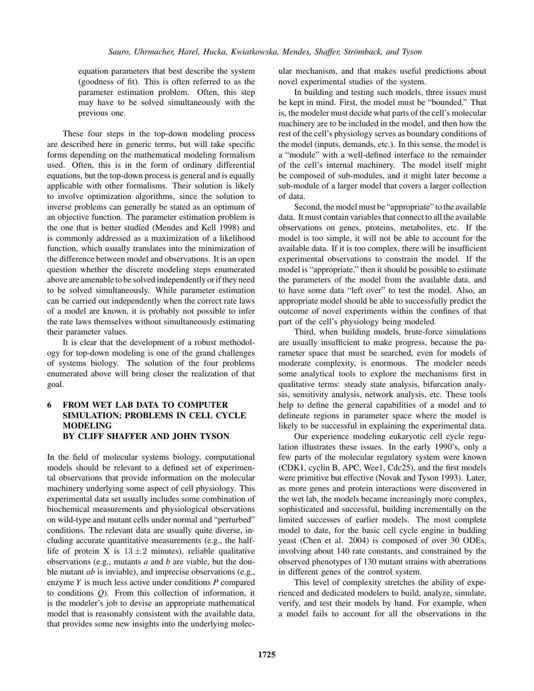equation parameters that best describe the system (goodness of fit). This is often referred to as the parameter estimation problem. Often, this step may have to be solved simultaneously with the previous one.

These four steps in the top-down modeling process are described here in generic terms, but will take specific forms depending on the mathematical modeling formalism used. Often, this is in the form of ordinary differential equations, but the top-down process is general and is equally applicable with other formalisms. Their solution is likely to involve optimization algorithms, since the solution to inverse problems can generally be stated as an optimum of an objective function. The parameter estimation problem is the one that is better studied (Mendes and Kell 1998) and is commonly addressed as a maximization of a likelihood function, which usually translates into the minimization of the difference between model and observations. It is an open question whether the discrete modeling steps enumerated above are amenable to be solved independently or if they need to be solved simultaneously. While parameter estimation can be carried out independently when the correct rate laws of a model are known, it is probably not possible to infer the rate laws themselves without simultaneously estimating their parameter values.

It is clear that the development of a robust methodology for top-down modeling is one of the grand challenges of systems biology. The solution of the four problems enumerated above will bring closer the realization of that goal.

#### 6 FROM WET LAB DATA TO COMPUTER SIMULATION: PROBLEMS IN CELL CYCLE MODELING BY CLIFF SHAFFER AND JOHN TYSON

In the field of molecular systems biology, computational models should be relevant to a defined set of experimental observations that provide information on the molecular machinery underlying some aspect of cell physiology. This experimental data set usually includes some combination of biochemical measurements and physiological observations on wild-type and mutant cells under normal and "perturbed" conditions. The relevant data are usually quite diverse, including accurate quantitative measurements (e.g., the halflife of protein X is  $13 \pm 2$  minutes), reliable qualitative observations (e.g., mutants  $a$  and  $b$  are viable, but the double mutant *ab* is inviable), and imprecise observations (e.g., enzyme  $Y$  is much less active under conditions  $P$  compared to conditions Q). From this collection of information, it is the modeler's job to devise an appropriate mathematical model that is reasonably consistent with the available data, that provides some new insights into the underlying molec-

ular mechanism, and that makes useful predictions about novel experimental studies of the system.

In building and testing such models, three issues must be kept in mind. First, the model must be "bounded." That is, the modeler must decide what parts of the cell's molecular machinery are to be included in the model, and then how the rest of the cell's physiology serves as boundary conditions of the model (inputs, demands, etc.). In this sense, the model is a "module" with a well-defined interface to the remainder of the cell's internal machinery. The model itself might be composed of sub-modules, and it might later become a sub-module of a larger model that covers a larger collection of data.

Second, the model must be "appropriate" to the available data. It must contain variables that connect to all the available observations on genes, proteins, metabolites, etc. If the model is too simple, it will not be able to account for the available data. If it is too complex, there will be insufficient experimental observations to constrain the model. If the model is "appropriate," then it should be possible to estimate the parameters of the model from the available data, and to have some data "left over" to test the model. Also, an appropriate model should be able to successfully predict the outcome of novel experiments within the confines of that part of the cell's physiology being modeled.

Third, when building models, brute-force simulations are usually insufficient to make progress, because the parameter space that must be searched, even for models of moderate complexity, is enormous. The modeler needs some analytical tools to explore the mechanisms first in qualitative terms: steady state analysis, bifurcation analysis, sensitivity analysis, network analysis, etc. These tools help to define the general capabilities of a model and to delineate regions in parameter space where the model is likely to be successful in explaining the experimental data.

Our experience modeling eukaryotic cell cycle regulation illustrates these issues. In the early 1990's, only a few parts of the molecular regulatory system were known (CDK1, cyclin B, APC, Wee1, Cdc25), and the first models were primitive but effective (Novak and Tyson 1993). Later, as more genes and protein interactions were discovered in the wet lab, the models became increasingly more complex, sophisticated and successful, building incrementally on the limited successes of earlier models. The most complete model to date, for the basic cell cycle engine in budding yeast (Chen et al. 2004) is composed of over 30 ODEs, involving about 140 rate constants, and constrained by the observed phenotypes of 130 mutant strains with aberrations in different genes of the control system.

This level of complexity stretches the ability of experienced and dedicated modelers to build, analyze, simulate, verify, and test their models by hand. For example, when a model fails to account for all the observations in the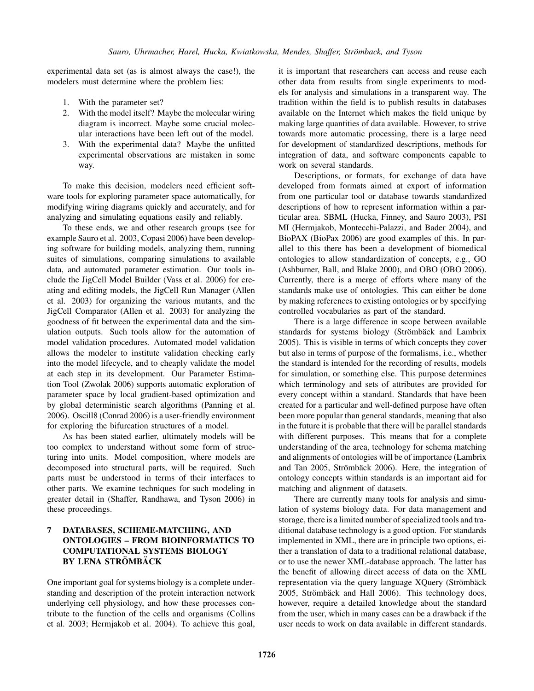experimental data set (as is almost always the case!), the modelers must determine where the problem lies:

- 1. With the parameter set?
- 2. With the model itself? Maybe the molecular wiring diagram is incorrect. Maybe some crucial molecular interactions have been left out of the model.
- 3. With the experimental data? Maybe the unfitted experimental observations are mistaken in some way.

To make this decision, modelers need efficient software tools for exploring parameter space automatically, for modifying wiring diagrams quickly and accurately, and for analyzing and simulating equations easily and reliably.

To these ends, we and other research groups (see for example Sauro et al. 2003, Copasi 2006) have been developing software for building models, analyzing them, running suites of simulations, comparing simulations to available data, and automated parameter estimation. Our tools include the JigCell Model Builder (Vass et al. 2006) for creating and editing models, the JigCell Run Manager (Allen et al. 2003) for organizing the various mutants, and the JigCell Comparator (Allen et al. 2003) for analyzing the goodness of fit between the experimental data and the simulation outputs. Such tools allow for the automation of model validation procedures. Automated model validation allows the modeler to institute validation checking early into the model lifecycle, and to cheaply validate the model at each step in its development. Our Parameter Estimation Tool (Zwolak 2006) supports automatic exploration of parameter space by local gradient-based optimization and by global deterministic search algorithms (Panning et al. 2006). Oscill8 (Conrad 2006) is a user-friendly environment for exploring the bifurcation structures of a model.

As has been stated earlier, ultimately models will be too complex to understand without some form of structuring into units. Model composition, where models are decomposed into structural parts, will be required. Such parts must be understood in terms of their interfaces to other parts. We examine techniques for such modeling in greater detail in (Shaffer, Randhawa, and Tyson 2006) in these proceedings.

### 7 DATABASES, SCHEME-MATCHING, AND ONTOLOGIES – FROM BIOINFORMATICS TO COMPUTATIONAL SYSTEMS BIOLOGY BY LENA STRÖMBÄCK

One important goal for systems biology is a complete understanding and description of the protein interaction network underlying cell physiology, and how these processes contribute to the function of the cells and organisms (Collins et al. 2003; Hermjakob et al. 2004). To achieve this goal,

it is important that researchers can access and reuse each other data from results from single experiments to models for analysis and simulations in a transparent way. The tradition within the field is to publish results in databases available on the Internet which makes the field unique by making large quantities of data available. However, to strive towards more automatic processing, there is a large need for development of standardized descriptions, methods for integration of data, and software components capable to work on several standards.

Descriptions, or formats, for exchange of data have developed from formats aimed at export of information from one particular tool or database towards standardized descriptions of how to represent information within a particular area. SBML (Hucka, Finney, and Sauro 2003), PSI MI (Hermjakob, Montecchi-Palazzi, and Bader 2004), and BioPAX (BioPax 2006) are good examples of this. In parallel to this there has been a development of biomedical ontologies to allow standardization of concepts, e.g., GO (Ashburner, Ball, and Blake 2000), and OBO (OBO 2006). Currently, there is a merge of efforts where many of the standards make use of ontologies. This can either be done by making references to existing ontologies or by specifying controlled vocabularies as part of the standard.

There is a large difference in scope between available standards for systems biology (Strömbäck and Lambrix 2005). This is visible in terms of which concepts they cover but also in terms of purpose of the formalisms, i.e., whether the standard is intended for the recording of results, models for simulation, or something else. This purpose determines which terminology and sets of attributes are provided for every concept within a standard. Standards that have been created for a particular and well-defined purpose have often been more popular than general standards, meaning that also in the future it is probable that there will be parallel standards with different purposes. This means that for a complete understanding of the area, technology for schema matching and alignments of ontologies will be of importance (Lambrix and Tan 2005, Strömbäck 2006). Here, the integration of ontology concepts within standards is an important aid for matching and alignment of datasets.

There are currently many tools for analysis and simulation of systems biology data. For data management and storage, there is a limited number of specialized tools and traditional database technology is a good option. For standards implemented in XML, there are in principle two options, either a translation of data to a traditional relational database, or to use the newer XML-database approach. The latter has the benefit of allowing direct access of data on the XML representation via the query language XQuery (Strömbäck 2005, Strömbäck and Hall 2006). This technology does, however, require a detailed knowledge about the standard from the user, which in many cases can be a drawback if the user needs to work on data available in different standards.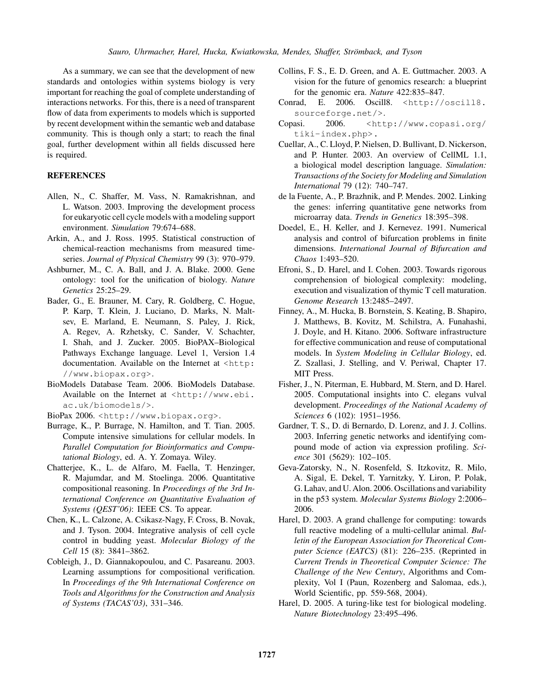As a summary, we can see that the development of new standards and ontologies within systems biology is very important for reaching the goal of complete understanding of interactions networks. For this, there is a need of transparent flow of data from experiments to models which is supported by recent development within the semantic web and database community. This is though only a start; to reach the final goal, further development within all fields discussed here is required.

#### REFERENCES

- Allen, N., C. Shaffer, M. Vass, N. Ramakrishnan, and L. Watson. 2003. Improving the development process for eukaryotic cell cycle models with a modeling support environment. Simulation 79:674–688.
- Arkin, A., and J. Ross. 1995. Statistical construction of chemical-reaction mechanisms from measured timeseries. Journal of Physical Chemistry 99 (3): 970–979.
- Ashburner, M., C. A. Ball, and J. A. Blake. 2000. Gene ontology: tool for the unification of biology. Nature Genetics 25:25–29.
- Bader, G., E. Brauner, M. Cary, R. Goldberg, C. Hogue, P. Karp, T. Klein, J. Luciano, D. Marks, N. Maltsev, E. Marland, E. Neumann, S. Paley, J. Rick, A. Regev, A. Rzhetsky, C. Sander, V. Schachter, I. Shah, and J. Zucker. 2005. BioPAX–Biological Pathways Exchange language. Level 1, Version 1.4 documentation. Available on the Internet at <http: //www.biopax.org>.
- BioModels Database Team. 2006. BioModels Database. Available on the Internet at <http://www.ebi. ac.uk/biomodels/>.
- BioPax 2006. <http://www.biopax.org>.
- Burrage, K., P. Burrage, N. Hamilton, and T. Tian. 2005. Compute intensive simulations for cellular models. In Parallel Computation for Bioinformatics and Computational Biology, ed. A. Y. Zomaya. Wiley.
- Chatterjee, K., L. de Alfaro, M. Faella, T. Henzinger, R. Majumdar, and M. Stoelinga. 2006. Quantitative compositional reasoning. In Proceedings of the 3rd International Conference on Quantitative Evaluation of Systems (*QEST'06*): IEEE CS. To appear.
- Chen, K., L. Calzone, A. Csikasz-Nagy, F. Cross, B. Novak, and J. Tyson. 2004. Integrative analysis of cell cycle control in budding yeast. Molecular Biology of the Cell 15 (8): 3841–3862.
- Cobleigh, J., D. Giannakopoulou, and C. Pasareanu. 2003. Learning assumptions for compositional verification. In Proceedings of the 9th International Conference on Tools and Algorithms for the Construction and Analysis of Systems (TACAS'03), 331–346.
- Collins, F. S., E. D. Green, and A. E. Guttmacher. 2003. A vision for the future of genomics research: a blueprint for the genomic era. Nature 422:835–847.
- Conrad, E. 2006. Oscill8. <http://oscill8. sourceforge.net/>.
- Copasi. 2006. <http://www.copasi.org/ tiki-index.php>.
- Cuellar, A., C. Lloyd, P. Nielsen, D. Bullivant, D. Nickerson, and P. Hunter. 2003. An overview of CellML 1.1, a biological model description language. Simulation: Transactions of the Society for Modeling and Simulation International 79 (12): 740–747.
- de la Fuente, A., P. Brazhnik, and P. Mendes. 2002. Linking the genes: inferring quantitative gene networks from microarray data. Trends in Genetics 18:395–398.
- Doedel, E., H. Keller, and J. Kernevez. 1991. Numerical analysis and control of bifurcation problems in finite dimensions. International Journal of Bifurcation and Chaos 1:493–520.
- Efroni, S., D. Harel, and I. Cohen. 2003. Towards rigorous comprehension of biological complexity: modeling, execution and visualization of thymic T cell maturation. Genome Research 13:2485–2497.
- Finney, A., M. Hucka, B. Bornstein, S. Keating, B. Shapiro, J. Matthews, B. Kovitz, M. Schilstra, A. Funahashi, J. Doyle, and H. Kitano. 2006. Software infrastructure for effective communication and reuse of computational models. In System Modeling in Cellular Biology, ed. Z. Szallasi, J. Stelling, and V. Periwal, Chapter 17. MIT Press.
- Fisher, J., N. Piterman, E. Hubbard, M. Stern, and D. Harel. 2005. Computational insights into C. elegans vulval development. Proceedings of the National Academy of Sciences 6 (102): 1951–1956.
- Gardner, T. S., D. di Bernardo, D. Lorenz, and J. J. Collins. 2003. Inferring genetic networks and identifying compound mode of action via expression profiling. Science 301 (5629): 102–105.
- Geva-Zatorsky, N., N. Rosenfeld, S. Itzkovitz, R. Milo, A. Sigal, E. Dekel, T. Yarnitzky, Y. Liron, P. Polak, G. Lahav, and U. Alon. 2006. Oscillations and variability in the p53 system. Molecular Systems Biology 2:2006– 2006.
- Harel, D. 2003. A grand challenge for computing: towards full reactive modeling of a multi-cellular animal. Bulletin of the European Association for Theoretical Computer Science (EATCS) (81): 226-235. (Reprinted in Current Trends in Theoretical Computer Science: The Challenge of the New Century, Algorithms and Complexity, Vol I (Paun, Rozenberg and Salomaa, eds.), World Scientific, pp. 559-568, 2004).
- Harel, D. 2005. A turing-like test for biological modeling. Nature Biotechnology 23:495–496.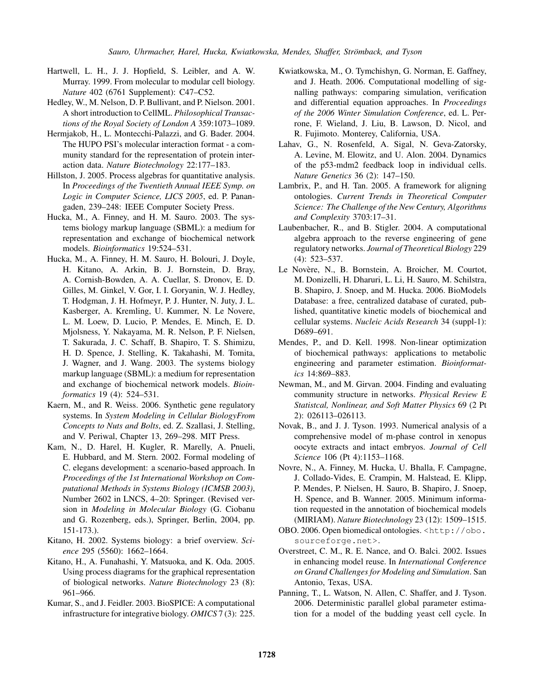- Hartwell, L. H., J. J. Hopfield, S. Leibler, and A. W. Murray. 1999. From molecular to modular cell biology. Nature 402 (6761 Supplement): C47–C52.
- Hedley, W., M. Nelson, D. P. Bullivant, and P. Nielson. 2001. A short introduction to CellML. Philosophical Transactions of the Royal Society of London A 359:1073–1089.
- Hermjakob, H., L. Montecchi-Palazzi, and G. Bader. 2004. The HUPO PSI's molecular interaction format - a community standard for the representation of protein interaction data. Nature Biotechnology 22:177–183.
- Hillston, J. 2005. Process algebras for quantitative analysis. In Proceedings of the Twentieth Annual IEEE Symp. on Logic in Computer Science, LICS 2005, ed. P. Panangaden, 239–248: IEEE Computer Society Press.
- Hucka, M., A. Finney, and H. M. Sauro. 2003. The systems biology markup language (SBML): a medium for representation and exchange of biochemical network models. Bioinformatics 19:524–531.
- Hucka, M., A. Finney, H. M. Sauro, H. Bolouri, J. Doyle, H. Kitano, A. Arkin, B. J. Bornstein, D. Bray, A. Cornish-Bowden, A. A. Cuellar, S. Dronov, E. D. Gilles, M. Ginkel, V. Gor, I. I. Goryanin, W. J. Hedley, T. Hodgman, J. H. Hofmeyr, P. J. Hunter, N. Juty, J. L. Kasberger, A. Kremling, U. Kummer, N. Le Novere, L. M. Loew, D. Lucio, P. Mendes, E. Minch, E. D. Mjolsness, Y. Nakayama, M. R. Nelson, P. F. Nielsen, T. Sakurada, J. C. Schaff, B. Shapiro, T. S. Shimizu, H. D. Spence, J. Stelling, K. Takahashi, M. Tomita, J. Wagner, and J. Wang. 2003. The systems biology markup language (SBML): a medium for representation and exchange of biochemical network models. Bioinformatics 19 (4): 524–531.
- Kaern, M., and R. Weiss. 2006. Synthetic gene regulatory systems. In System Modeling in Cellular BiologyFrom Concepts to Nuts and Bolts, ed. Z. Szallasi, J. Stelling, and V. Periwal, Chapter 13, 269–298. MIT Press.
- Kam, N., D. Harel, H. Kugler, R. Marelly, A. Pnueli, E. Hubbard, and M. Stern. 2002. Formal modeling of C. elegans development: a scenario-based approach. In Proceedings of the 1st International Workshop on Computational Methods in Systems Biology (ICMSB 2003), Number 2602 in LNCS, 4–20: Springer. (Revised version in Modeling in Molecular Biology (G. Ciobanu and G. Rozenberg, eds.), Springer, Berlin, 2004, pp. 151-173.).
- Kitano, H. 2002. Systems biology: a brief overview. Science 295 (5560): 1662–1664.
- Kitano, H., A. Funahashi, Y. Matsuoka, and K. Oda. 2005. Using process diagrams for the graphical representation of biological networks. Nature Biotechnology 23 (8): 961–966.
- Kumar, S., and J. Feidler. 2003. BioSPICE: A computational infrastructure for integrative biology. OMICS 7 (3): 225.
- Kwiatkowska, M., O. Tymchishyn, G. Norman, E. Gaffney, and J. Heath. 2006. Computational modelling of signalling pathways: comparing simulation, verification and differential equation approaches. In Proceedings of the 2006 Winter Simulation Conference, ed. L. Perrone, F. Wieland, J. Liu, B. Lawson, D. Nicol, and R. Fujimoto. Monterey, California, USA.
- Lahav, G., N. Rosenfeld, A. Sigal, N. Geva-Zatorsky, A. Levine, M. Elowitz, and U. Alon. 2004. Dynamics of the p53-mdm2 feedback loop in individual cells. Nature Genetics 36 (2): 147–150.
- Lambrix, P., and H. Tan. 2005. A framework for aligning ontologies. Current Trends in Theoretical Computer Science: The Challenge of the New Century, Algorithms and Complexity 3703:17–31.
- Laubenbacher, R., and B. Stigler. 2004. A computational algebra approach to the reverse engineering of gene regulatory networks. Journal of Theoretical Biology 229 (4): 523–537.
- Le Novère, N., B. Bornstein, A. Broicher, M. Courtot, M. Donizelli, H. Dharuri, L. Li, H. Sauro, M. Schilstra, B. Shapiro, J. Snoep, and M. Hucka. 2006. BioModels Database: a free, centralized database of curated, published, quantitative kinetic models of biochemical and cellular systems. Nucleic Acids Research 34 (suppl-1): D689–691.
- Mendes, P., and D. Kell. 1998. Non-linear optimization of biochemical pathways: applications to metabolic engineering and parameter estimation. Bioinformatics 14:869–883.
- Newman, M., and M. Girvan. 2004. Finding and evaluating community structure in networks. Physical Review E Statistcal, Nonlinear, and Soft Matter Physics 69 (2 Pt 2): 026113–026113.
- Novak, B., and J. J. Tyson. 1993. Numerical analysis of a comprehensive model of m-phase control in xenopus oocyte extracts and intact embryos. Journal of Cell Science 106 (Pt 4):1153–1168.
- Novre, N., A. Finney, M. Hucka, U. Bhalla, F. Campagne, J. Collado-Vides, E. Crampin, M. Halstead, E. Klipp, P. Mendes, P. Nielsen, H. Sauro, B. Shapiro, J. Snoep, H. Spence, and B. Wanner. 2005. Minimum information requested in the annotation of biochemical models (MIRIAM). Nature Biotechnology 23 (12): 1509–1515.
- OBO. 2006. Open biomedical ontologies. <http://obo. sourceforge.net>.
- Overstreet, C. M., R. E. Nance, and O. Balci. 2002. Issues in enhancing model reuse. In International Conference on Grand Challenges for Modeling and Simulation. San Antonio, Texas, USA.
- Panning, T., L. Watson, N. Allen, C. Shaffer, and J. Tyson. 2006. Deterministic parallel global parameter estimation for a model of the budding yeast cell cycle. In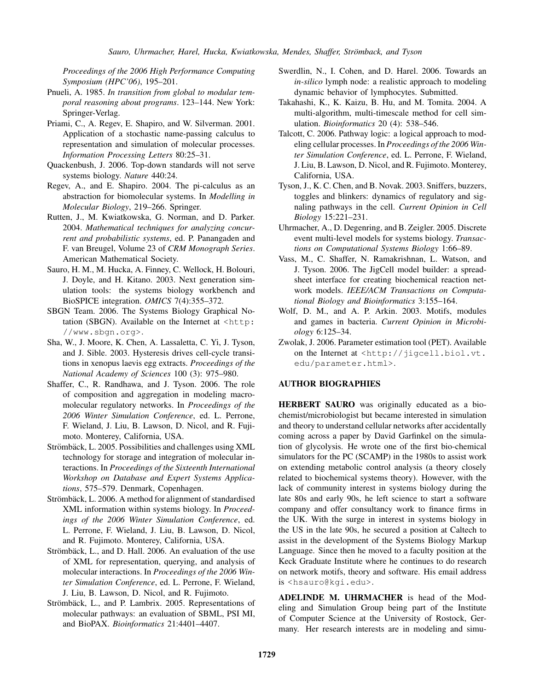Proceedings of the 2006 High Performance Computing Symposium (HPC'06), 195–201.

- Pnueli, A. 1985. In transition from global to modular temporal reasoning about programs. 123–144. New York: Springer-Verlag.
- Priami, C., A. Regev, E. Shapiro, and W. Silverman. 2001. Application of a stochastic name-passing calculus to representation and simulation of molecular processes. Information Processing Letters 80:25–31.
- Quackenbush, J. 2006. Top-down standards will not serve systems biology. Nature 440:24.
- Regev, A., and E. Shapiro. 2004. The pi-calculus as an abstraction for biomolecular systems. In Modelling in Molecular Biology, 219–266. Springer.
- Rutten, J., M. Kwiatkowska, G. Norman, and D. Parker. 2004. Mathematical techniques for analyzing concurrent and probabilistic systems, ed. P. Panangaden and F. van Breugel, Volume 23 of CRM Monograph Series. American Mathematical Society.
- Sauro, H. M., M. Hucka, A. Finney, C. Wellock, H. Bolouri, J. Doyle, and H. Kitano. 2003. Next generation simulation tools: the systems biology workbench and BioSPICE integration. OMICS 7(4):355–372.
- SBGN Team. 2006. The Systems Biology Graphical Notation (SBGN). Available on the Internet at <http: //www.sbgn.org>.
- Sha, W., J. Moore, K. Chen, A. Lassaletta, C. Yi, J. Tyson, and J. Sible. 2003. Hysteresis drives cell-cycle transitions in xenopus laevis egg extracts. Proceedings of the National Academy of Sciences 100 (3): 975–980.
- Shaffer, C., R. Randhawa, and J. Tyson. 2006. The role of composition and aggregation in modeling macromolecular regulatory networks. In Proceedings of the 2006 Winter Simulation Conference, ed. L. Perrone, F. Wieland, J. Liu, B. Lawson, D. Nicol, and R. Fujimoto. Monterey, California, USA.
- Strömbäck, L. 2005. Possibilities and challenges using XML technology for storage and integration of molecular interactions. In Proceedings of the Sixteenth International Workshop on Database and Expert Systems Applications, 575–579. Denmark, Copenhagen.
- Strömbäck, L. 2006. A method for alignment of standardised XML information within systems biology. In Proceedings of the 2006 Winter Simulation Conference, ed. L. Perrone, F. Wieland, J. Liu, B. Lawson, D. Nicol, and R. Fujimoto. Monterey, California, USA.
- Strömbäck, L., and D. Hall. 2006. An evaluation of the use of XML for representation, querying, and analysis of molecular interactions. In Proceedings of the 2006 Winter Simulation Conference, ed. L. Perrone, F. Wieland, J. Liu, B. Lawson, D. Nicol, and R. Fujimoto.
- Strömbäck, L., and P. Lambrix. 2005. Representations of molecular pathways: an evaluation of SBML, PSI MI, and BioPAX. Bioinformatics 21:4401–4407.
- Swerdlin, N., I. Cohen, and D. Harel. 2006. Towards an in-silico lymph node: a realistic approach to modeling dynamic behavior of lymphocytes. Submitted.
- Takahashi, K., K. Kaizu, B. Hu, and M. Tomita. 2004. A multi-algorithm, multi-timescale method for cell simulation. Bioinformatics 20 (4): 538–546.
- Talcott, C. 2006. Pathway logic: a logical approach to modeling cellular processes. In Proceedings of the 2006 Winter Simulation Conference, ed. L. Perrone, F. Wieland, J. Liu, B. Lawson, D. Nicol, and R. Fujimoto. Monterey, California, USA.
- Tyson, J., K. C. Chen, and B. Novak. 2003. Sniffers, buzzers, toggles and blinkers: dynamics of regulatory and signaling pathways in the cell. Current Opinion in Cell Biology 15:221–231.
- Uhrmacher, A., D. Degenring, and B. Zeigler. 2005. Discrete event multi-level models for systems biology. Transactions on Computational Systems Biology 1:66–89.
- Vass, M., C. Shaffer, N. Ramakrishnan, L. Watson, and J. Tyson. 2006. The JigCell model builder: a spreadsheet interface for creating biochemical reaction network models. IEEE/ACM Transactions on Computational Biology and Bioinformatics 3:155–164.
- Wolf, D. M., and A. P. Arkin. 2003. Motifs, modules and games in bacteria. Current Opinion in Microbiology 6:125–34.
- Zwolak, J. 2006. Parameter estimation tool (PET). Available on the Internet at <http://jigcell.biol.vt. edu/parameter.html>.

#### AUTHOR BIOGRAPHIES

HERBERT SAURO was originally educated as a biochemist/microbiologist but became interested in simulation and theory to understand cellular networks after accidentally coming across a paper by David Garfinkel on the simulation of glycolysis. He wrote one of the first bio-chemical simulators for the PC (SCAMP) in the 1980s to assist work on extending metabolic control analysis (a theory closely related to biochemical systems theory). However, with the lack of community interest in systems biology during the late 80s and early 90s, he left science to start a software company and offer consultancy work to finance firms in the UK. With the surge in interest in systems biology in the US in the late 90s, he secured a position at Caltech to assist in the development of the Systems Biology Markup Language. Since then he moved to a faculty position at the Keck Graduate Institute where he continues to do research on network motifs, theory and software. His email address is <hsauro@kgi.edu>.

ADELINDE M. UHRMACHER is head of the Modeling and Simulation Group being part of the Institute of Computer Science at the University of Rostock, Germany. Her research interests are in modeling and simu